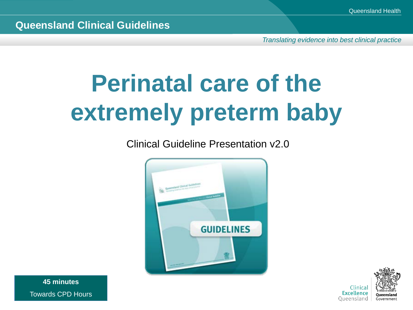*Translating evidence into best clinical practice*

## **Perinatal care of the extremely preterm baby**

Clinical Guideline Presentation v2.0





**45 minutes** Towards CPD Hours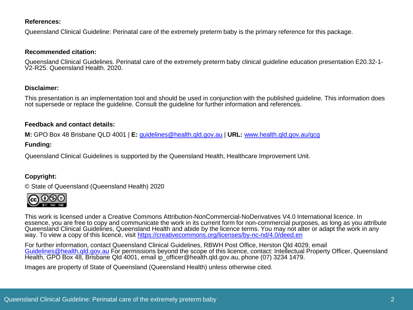#### **References:**

Queensland Clinical Guideline: Perinatal care of the extremely preterm baby is the primary reference for this package.

#### **Recommended citation:**

Queensland Clinical Guidelines. Perinatal care of the extremely preterm baby clinical guideline education presentation E20.32-1-<br>V2-R25. Queensland Health. 2020.

#### **Disclaimer:**

This presentation is an implementation tool and should be used in conjunction with the published guideline. This information does not supersede or replace the guideline. Consult the guideline for further information and references.

#### **Feedback and contact details:**

**M:** GPO Box 48 Brisbane QLD 4001 | **E:** [guidelines@health.qld.gov.au](mailto:guidelines@health.qld.gov.au) | **URL:** [www.health.qld.gov.au/qcg](http://www.health.qld.gov.au/qcg)

#### **Funding:**

Queensland Clinical Guidelines is supported by the Queensland Health, Healthcare Improvement Unit.

#### **Copyright:**

© State of Queensland (Queensland Health) 2020



This work is licensed under a Creative Commons Attribution-NonCommercial-NoDerivatives V4.0 International licence. In essence, you are free to copy and communicate the work in its current form for non-commercial purposes, as long as you attribute Queensland Clinical Guidelines, Queensland Health and abide by the licence terms. You may not alter or adapt the work in any way. To view a copy of this licence, visit <https://creativecommons.org/licenses/by-nc-nd/4.0/deed.en>

For further information, contact Queensland Clinical Guidelines, RBWH Post Office, Herston Qld 4029, email Guidelines@health.gld.gov.au For permissions beyond the scope of this licence, contact: Intellectual Property Officer, Queensland<br>[Health, GPO Box 48, Brisbane](mailto:Guidelines@health.qld.gov.au) Qld 4001, email ip officer@health.gld.gov.au, phone (07) 3234 1

Images are property of State of Queensland (Queensland Health) unless otherwise cited.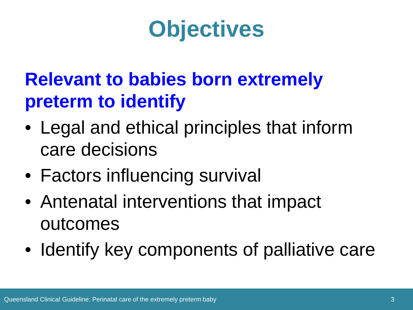### **Objectives**

#### **Relevant to babies born extremely preterm to identify**

- Legal and ethical principles that inform care decisions
- Factors influencing survival
- Antenatal interventions that impact outcomes
- Identify key components of palliative care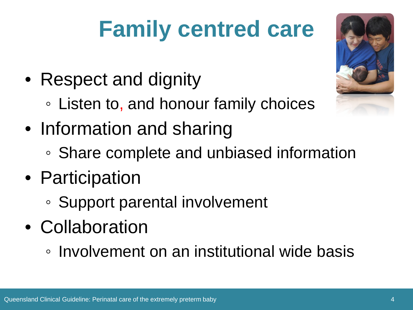## **Family centred care**

- Respect and dignity
	- Listen to, and honour family choices
- Information and sharing
	- Share complete and unbiased information
- Participation
	- Support parental involvement
- Collaboration
	- Involvement on an institutional wide basis

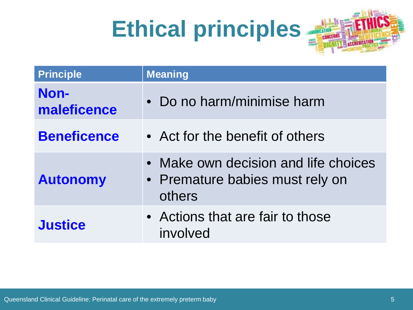## **Ethical principles**



| <b>Principle</b>    | <b>Meaning</b>                                                                  |
|---------------------|---------------------------------------------------------------------------------|
| Non-<br>maleficence | Do no harm/minimise harm                                                        |
| <b>Beneficence</b>  | • Act for the benefit of others                                                 |
| <b>Autonomy</b>     | Make own decision and life choices<br>• Premature babies must rely on<br>others |
| <b>Justice</b>      | • Actions that are fair to those<br>involved                                    |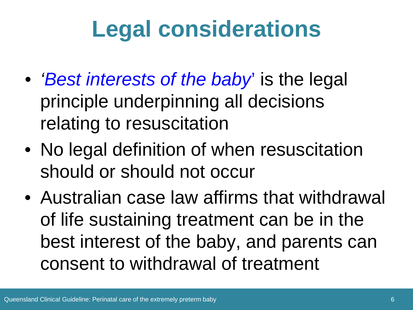### **Legal considerations**

- *'Best interests of the baby*' is the legal principle underpinning all decisions relating to resuscitation
- No legal definition of when resuscitation should or should not occur
- Australian case law affirms that withdrawal of life sustaining treatment can be in the best interest of the baby, and parents can consent to withdrawal of treatment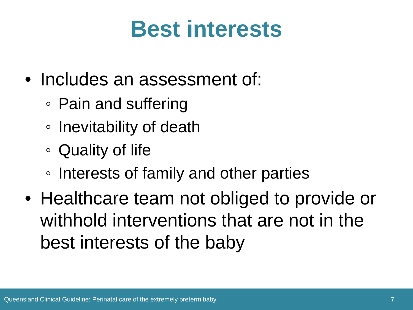#### **Best interests**

- Includes an assessment of:
	- Pain and suffering
	- Inevitability of death
	- Quality of life
	- Interests of family and other parties
- Healthcare team not obliged to provide or withhold interventions that are not in the best interests of the baby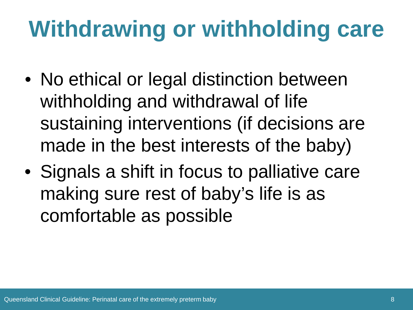## **Withdrawing or withholding care**

- No ethical or legal distinction between withholding and withdrawal of life sustaining interventions (if decisions are made in the best interests of the baby)
- Signals a shift in focus to palliative care making sure rest of baby's life is as comfortable as possible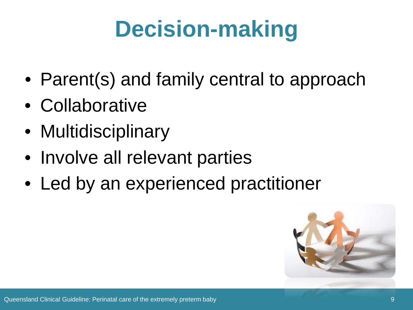## **Decision-making**

- Parent(s) and family central to approach
- Collaborative
- Multidisciplinary
- Involve all relevant parties
- Led by an experienced practitioner

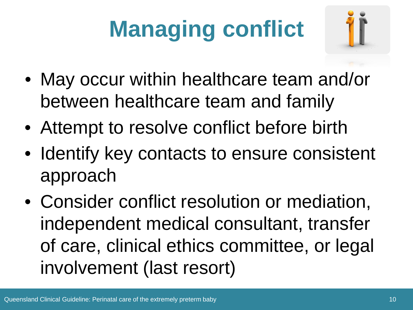# **Managing conflict**



- May occur within healthcare team and/or between healthcare team and family
- Attempt to resolve conflict before birth
- Identify key contacts to ensure consistent approach
- Consider conflict resolution or mediation, independent medical consultant, transfer of care, clinical ethics committee, or legal involvement (last resort)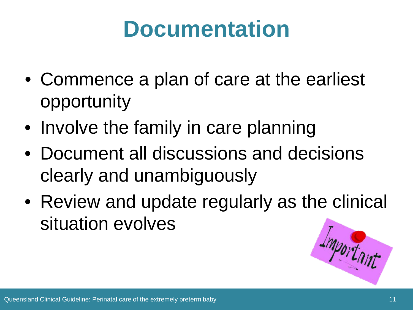#### **Documentation**

- Commence a plan of care at the earliest opportunity
- Involve the family in care planning
- Document all discussions and decisions clearly and unambiguously
- Review and update regularly as the clinical situation evolves

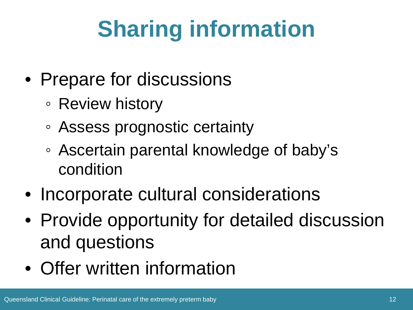## **Sharing information**

- Prepare for discussions
	- Review history
	- Assess prognostic certainty
	- Ascertain parental knowledge of baby's condition
- Incorporate cultural considerations
- Provide opportunity for detailed discussion and questions
- Offer written information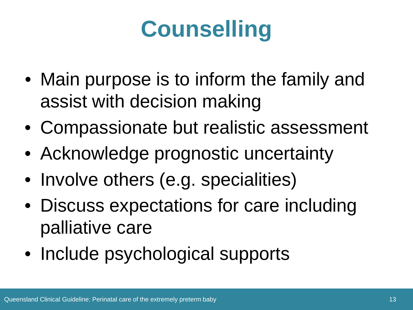## **Counselling**

- Main purpose is to inform the family and assist with decision making
- Compassionate but realistic assessment
- Acknowledge prognostic uncertainty
- Involve others (e.g. specialities)
- Discuss expectations for care including palliative care
- Include psychological supports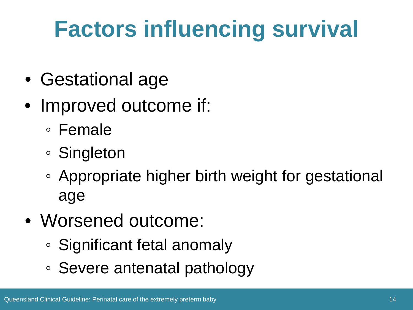## **Factors influencing survival**

- Gestational age
- Improved outcome if:
	- Female
	- Singleton
	- Appropriate higher birth weight for gestational age
- Worsened outcome:
	- Significant fetal anomaly
	- Severe antenatal pathology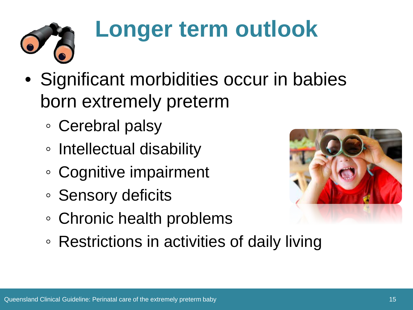

## **Longer term outlook**

- Significant morbidities occur in babies born extremely preterm
	- Cerebral palsy
	- Intellectual disability
	- Cognitive impairment
	- Sensory deficits
	- Chronic health problems



◦ Restrictions in activities of daily living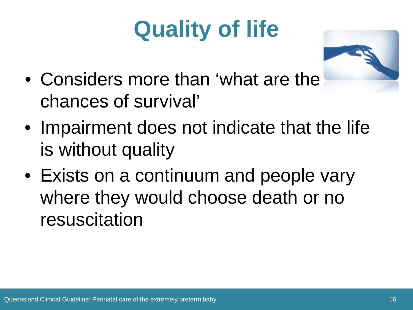## **Quality of life**



- Considers more than 'what are the chances of survival'
- Impairment does not indicate that the life is without quality
- Exists on a continuum and people vary where they would choose death or no resuscitation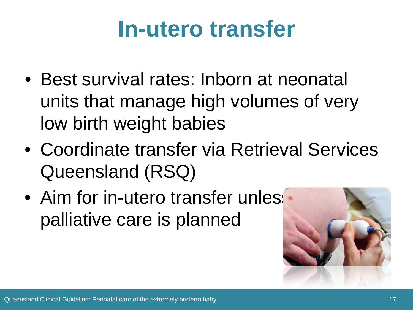#### **In-utero transfer**

- Best survival rates: Inborn at neonatal units that manage high volumes of very low birth weight babies
- Coordinate transfer via Retrieval Services Queensland (RSQ)
- Aim for in-utero transfer unles palliative care is planned

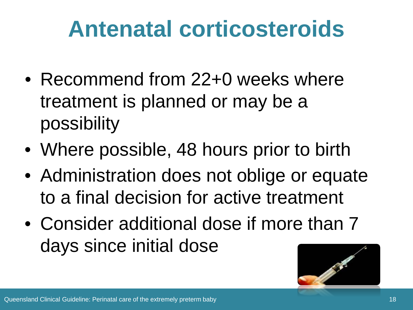#### **Antenatal corticosteroids**

- Recommend from 22+0 weeks where treatment is planned or may be a possibility
- Where possible, 48 hours prior to birth
- Administration does not oblige or equate to a final decision for active treatment
- Consider additional dose if more than 7 days since initial dose

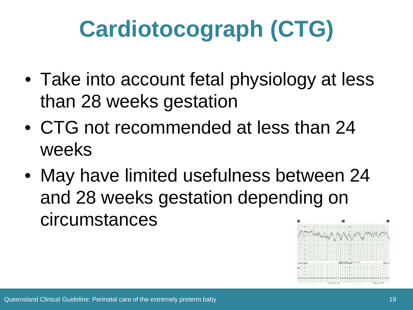## **Cardiotocograph (CTG)**

- Take into account fetal physiology at less than 28 weeks gestation
- CTG not recommended at less than 24 weeks
- May have limited usefulness between 24 and 28 weeks gestation depending on circumstances

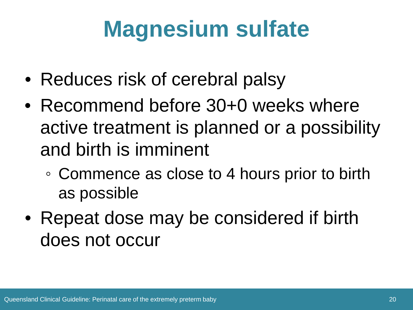### **Magnesium sulfate**

- Reduces risk of cerebral palsy
- Recommend before 30+0 weeks where active treatment is planned or a possibility and birth is imminent
	- Commence as close to 4 hours prior to birth as possible
- Repeat dose may be considered if birth does not occur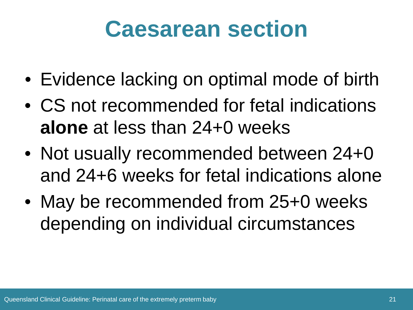#### **Caesarean section**

- Evidence lacking on optimal mode of birth
- CS not recommended for fetal indications **alone** at less than 24+0 weeks
- Not usually recommended between 24+0 and 24+6 weeks for fetal indications alone
- May be recommended from 25+0 weeks depending on individual circumstances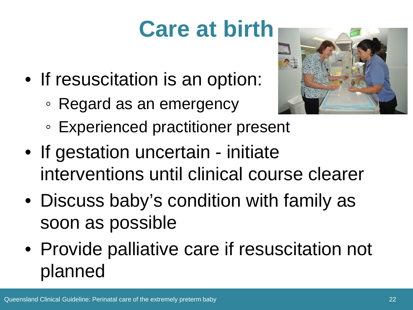## **Care at birth**

- If resuscitation is an option:
	- Regard as an emergency



- Experienced practitioner present
- If gestation uncertain initiate interventions until clinical course clearer
- Discuss baby's condition with family as soon as possible
- Provide palliative care if resuscitation not planned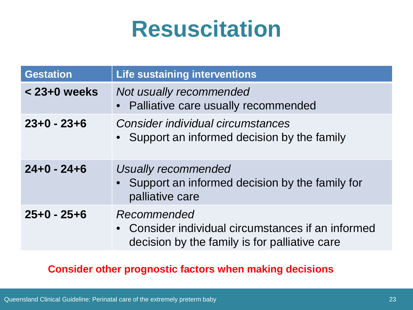#### **Resuscitation**

| <b>Gestation</b> | Life sustaining interventions                                                                                      |
|------------------|--------------------------------------------------------------------------------------------------------------------|
| $<$ 23+0 weeks   | Not usually recommended<br>• Palliative care usually recommended                                                   |
| $23+0 - 23+6$    | Consider individual circumstances<br>• Support an informed decision by the family                                  |
| $24+0 - 24+6$    | Usually recommended<br>• Support an informed decision by the family for<br>palliative care                         |
| $25+0 - 25+6$    | Recommended<br>• Consider individual circumstances if an informed<br>decision by the family is for palliative care |

#### **Consider other prognostic factors when making decisions**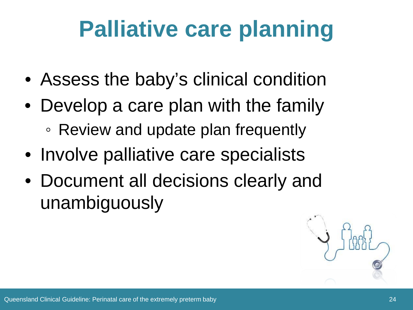### **Palliative care planning**

- Assess the baby's clinical condition
- Develop a care plan with the family ◦ Review and update plan frequently
- Involve palliative care specialists
- Document all decisions clearly and unambiguously

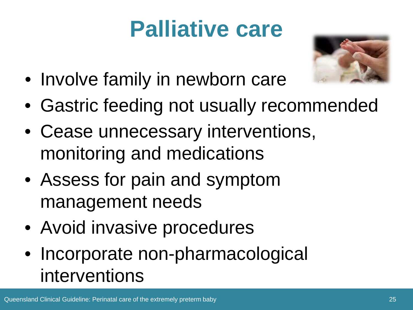### **Palliative care**



- Involve family in newborn care
- Gastric feeding not usually recommended
- Cease unnecessary interventions, monitoring and medications
- Assess for pain and symptom management needs
- Avoid invasive procedures
- Incorporate non-pharmacological interventions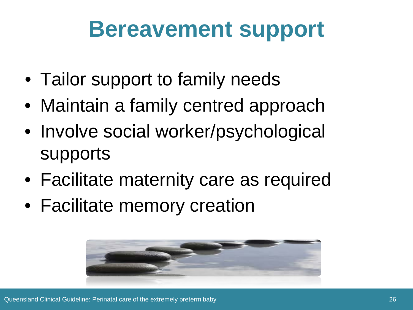#### **Bereavement support**

- Tailor support to family needs
- Maintain a family centred approach
- Involve social worker/psychological supports
- Facilitate maternity care as required
- Facilitate memory creation